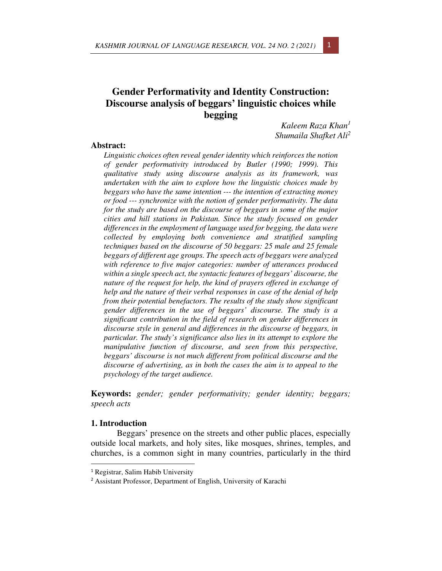# **Gender Performativity and Identity Construction: Discourse analysis of beggars' linguistic choices while begging**

*Kaleem Raza Khan<sup>1</sup> Shumaila Shafket Ali<sup>2</sup>*

## **Abstract:**

*Linguistic choices often reveal gender identity which reinforces the notion of gender performativity introduced by Butler (1990; 1999). This qualitative study using discourse analysis as its framework, was undertaken with the aim to explore how the linguistic choices made by beggars who have the same intention --- the intention of extracting money or food --- synchronize with the notion of gender performativity. The data for the study are based on the discourse of beggars in some of the major cities and hill stations in Pakistan. Since the study focused on gender differences in the employment of language used for begging, the data were collected by employing both convenience and stratified sampling techniques based on the discourse of 50 beggars: 25 male and 25 female beggars of different age groups. The speech acts of beggars were analyzed with reference to five major categories: number of utterances produced within a single speech act, the syntactic features of beggars' discourse, the nature of the request for help, the kind of prayers offered in exchange of help and the nature of their verbal responses in case of the denial of help from their potential benefactors. The results of the study show significant gender differences in the use of beggars' discourse. The study is a significant contribution in the field of research on gender differences in discourse style in general and differences in the discourse of beggars, in particular. The study's significance also lies in its attempt to explore the manipulative function of discourse, and seen from this perspective, beggars' discourse is not much different from political discourse and the discourse of advertising, as in both the cases the aim is to appeal to the psychology of the target audience.* 

**Keywords:** *gender; gender performativity; gender identity; beggars; speech acts*

### **1. Introduction**

Beggars' presence on the streets and other public places, especially outside local markets, and holy sites, like mosques, shrines, temples, and churches, is a common sight in many countries, particularly in the third



<sup>1</sup> Registrar, Salim Habib University

<sup>2</sup> Assistant Professor, Department of English, University of Karachi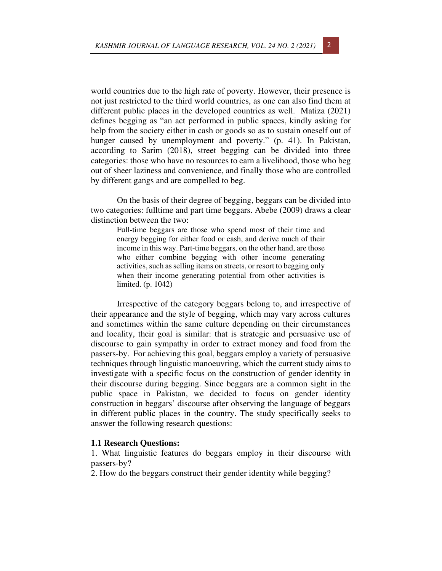world countries due to the high rate of poverty. However, their presence is not just restricted to the third world countries, as one can also find them at different public places in the developed countries as well. Matiza (2021) defines begging as "an act performed in public spaces, kindly asking for help from the society either in cash or goods so as to sustain oneself out of hunger caused by unemployment and poverty." (p. 41). In Pakistan, according to Sarim (2018), street begging can be divided into three categories: those who have no resources to earn a livelihood, those who beg out of sheer laziness and convenience, and finally those who are controlled by different gangs and are compelled to beg.

On the basis of their degree of begging, beggars can be divided into two categories: fulltime and part time beggars. Abebe (2009) draws a clear distinction between the two:

> Full-time beggars are those who spend most of their time and energy begging for either food or cash, and derive much of their income in this way. Part-time beggars, on the other hand, are those who either combine begging with other income generating activities, such as selling items on streets, or resort to begging only when their income generating potential from other activities is limited. (p. 1042)

Irrespective of the category beggars belong to, and irrespective of their appearance and the style of begging, which may vary across cultures and sometimes within the same culture depending on their circumstances and locality, their goal is similar: that is strategic and persuasive use of discourse to gain sympathy in order to extract money and food from the passers-by. For achieving this goal, beggars employ a variety of persuasive techniques through linguistic manoeuvring, which the current study aims to investigate with a specific focus on the construction of gender identity in their discourse during begging. Since beggars are a common sight in the public space in Pakistan, we decided to focus on gender identity construction in beggars' discourse after observing the language of beggars in different public places in the country. The study specifically seeks to answer the following research questions:

## **1.1 Research Questions:**

1. What linguistic features do beggars employ in their discourse with passers-by?

2. How do the beggars construct their gender identity while begging?

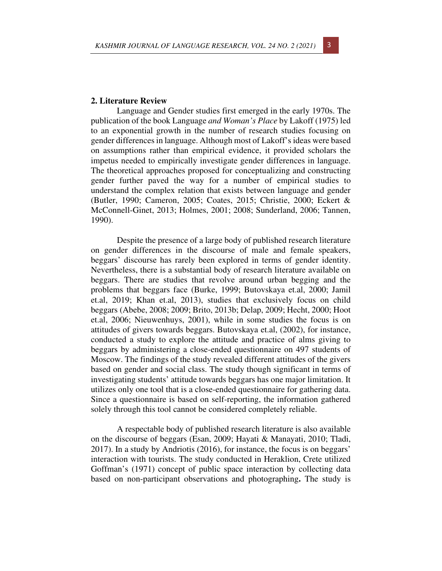#### **2. Literature Review**

Language and Gender studies first emerged in the early 1970s. The publication of the book Language *and Woman's Place* by Lakoff (1975) led to an exponential growth in the number of research studies focusing on gender differences in language. Although most of Lakoff's ideas were based on assumptions rather than empirical evidence, it provided scholars the impetus needed to empirically investigate gender differences in language. The theoretical approaches proposed for conceptualizing and constructing gender further paved the way for a number of empirical studies to understand the complex relation that exists between language and gender (Butler, 1990; Cameron, 2005; Coates, 2015; Christie, 2000; Eckert & McConnell-Ginet, 2013; Holmes, 2001; 2008; Sunderland, 2006; Tannen, 1990).

Despite the presence of a large body of published research literature on gender differences in the discourse of male and female speakers, beggars' discourse has rarely been explored in terms of gender identity. Nevertheless, there is a substantial body of research literature available on beggars. There are studies that revolve around urban begging and the problems that beggars face (Burke, 1999; Butovskaya et.al, 2000; Jamil et.al, 2019; Khan et.al, 2013), studies that exclusively focus on child beggars (Abebe, 2008; 2009; Brito, 2013b; Delap, 2009; Hecht, 2000; Hoot et.al, 2006; Nieuwenhuys, 2001), while in some studies the focus is on attitudes of givers towards beggars. Butovskaya et.al, (2002), for instance, conducted a study to explore the attitude and practice of alms giving to beggars by administering a close-ended questionnaire on 497 students of Moscow. The findings of the study revealed different attitudes of the givers based on gender and social class. The study though significant in terms of investigating students' attitude towards beggars has one major limitation. It utilizes only one tool that is a close-ended questionnaire for gathering data. Since a questionnaire is based on self-reporting, the information gathered solely through this tool cannot be considered completely reliable.

A respectable body of published research literature is also available on the discourse of beggars (Esan, 2009; Hayati & Manayati, 2010; Tladi, 2017). In a study by Andriotis (2016), for instance, the focus is on beggars' interaction with tourists. The study conducted in Heraklion, Crete utilized Goffman's (1971) concept of public space interaction by collecting data based on non-participant observations and photographing**.** The study is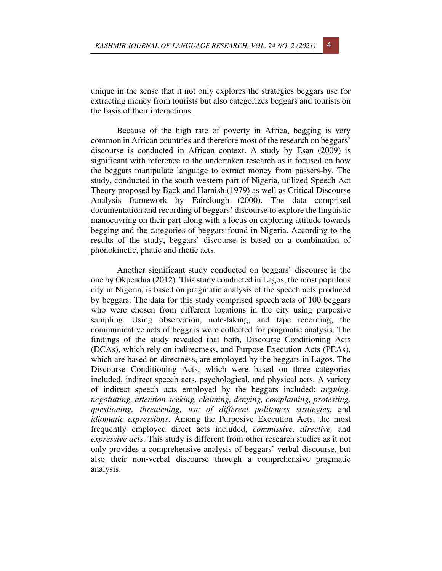unique in the sense that it not only explores the strategies beggars use for extracting money from tourists but also categorizes beggars and tourists on the basis of their interactions.

Because of the high rate of poverty in Africa, begging is very common in African countries and therefore most of the research on beggars' discourse is conducted in African context. A study by Esan (2009) is significant with reference to the undertaken research as it focused on how the beggars manipulate language to extract money from passers-by. The study, conducted in the south western part of Nigeria, utilized Speech Act Theory proposed by Back and Harnish (1979) as well as Critical Discourse Analysis framework by Fairclough (2000). The data comprised documentation and recording of beggars' discourse to explore the linguistic manoeuvring on their part along with a focus on exploring attitude towards begging and the categories of beggars found in Nigeria. According to the results of the study, beggars' discourse is based on a combination of phonokinetic, phatic and rhetic acts.

Another significant study conducted on beggars' discourse is the one by Okpeadua (2012). This study conducted in Lagos, the most populous city in Nigeria, is based on pragmatic analysis of the speech acts produced by beggars. The data for this study comprised speech acts of 100 beggars who were chosen from different locations in the city using purposive sampling. Using observation, note-taking, and tape recording, the communicative acts of beggars were collected for pragmatic analysis. The findings of the study revealed that both, Discourse Conditioning Acts (DCAs), which rely on indirectness, and Purpose Execution Acts (PEAs), which are based on directness, are employed by the beggars in Lagos. The Discourse Conditioning Acts, which were based on three categories included, indirect speech acts, psychological, and physical acts. A variety of indirect speech acts employed by the beggars included: *arguing, negotiating, attention-seeking, claiming, denying, complaining, protesting, questioning, threatening, use of different politeness strategies,* and *idiomatic expressions*. Among the Purposive Execution Acts, the most frequently employed direct acts included, *commissive, directive,* and *expressive acts*. This study is different from other research studies as it not only provides a comprehensive analysis of beggars' verbal discourse, but also their non-verbal discourse through a comprehensive pragmatic analysis.

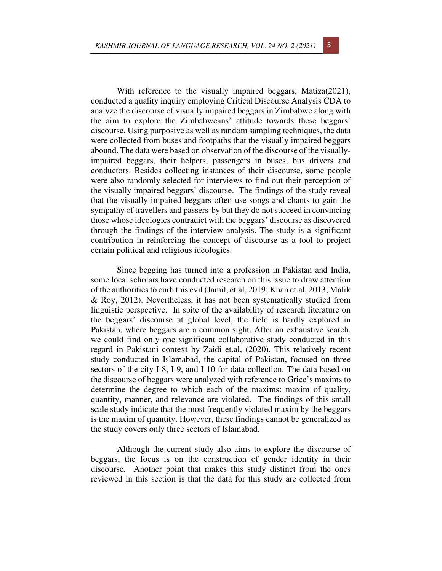With reference to the visually impaired beggars, Matiza(2021), conducted a quality inquiry employing Critical Discourse Analysis CDA to analyze the discourse of visually impaired beggars in Zimbabwe along with the aim to explore the Zimbabweans' attitude towards these beggars' discourse. Using purposive as well as random sampling techniques, the data were collected from buses and footpaths that the visually impaired beggars abound. The data were based on observation of the discourse of the visuallyimpaired beggars, their helpers, passengers in buses, bus drivers and conductors. Besides collecting instances of their discourse, some people were also randomly selected for interviews to find out their perception of the visually impaired beggars' discourse. The findings of the study reveal that the visually impaired beggars often use songs and chants to gain the sympathy of travellers and passers-by but they do not succeed in convincing those whose ideologies contradict with the beggars' discourse as discovered through the findings of the interview analysis. The study is a significant contribution in reinforcing the concept of discourse as a tool to project certain political and religious ideologies.

Since begging has turned into a profession in Pakistan and India, some local scholars have conducted research on this issue to draw attention of the authorities to curb this evil (Jamil, et.al, 2019; Khan et.al, 2013; Malik & Roy, 2012). Nevertheless, it has not been systematically studied from linguistic perspective. In spite of the availability of research literature on the beggars' discourse at global level, the field is hardly explored in Pakistan, where beggars are a common sight. After an exhaustive search, we could find only one significant collaborative study conducted in this regard in Pakistani context by Zaidi et.al, (2020). This relatively recent study conducted in Islamabad, the capital of Pakistan, focused on three sectors of the city I-8, I-9, and I-10 for data-collection. The data based on the discourse of beggars were analyzed with reference to Grice's maxims to determine the degree to which each of the maxims: maxim of quality, quantity, manner, and relevance are violated. The findings of this small scale study indicate that the most frequently violated maxim by the beggars is the maxim of quantity. However, these findings cannot be generalized as the study covers only three sectors of Islamabad.

Although the current study also aims to explore the discourse of beggars, the focus is on the construction of gender identity in their discourse. Another point that makes this study distinct from the ones reviewed in this section is that the data for this study are collected from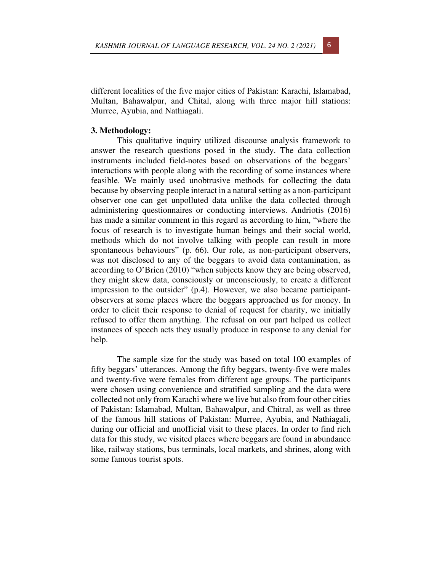different localities of the five major cities of Pakistan: Karachi, Islamabad, Multan, Bahawalpur, and Chital, along with three major hill stations: Murree, Ayubia, and Nathiagali.

## **3. Methodology:**

This qualitative inquiry utilized discourse analysis framework to answer the research questions posed in the study. The data collection instruments included field-notes based on observations of the beggars' interactions with people along with the recording of some instances where feasible. We mainly used unobtrusive methods for collecting the data because by observing people interact in a natural setting as a non-participant observer one can get unpolluted data unlike the data collected through administering questionnaires or conducting interviews. Andriotis (2016) has made a similar comment in this regard as according to him, "where the focus of research is to investigate human beings and their social world, methods which do not involve talking with people can result in more spontaneous behaviours" (p. 66). Our role, as non-participant observers, was not disclosed to any of the beggars to avoid data contamination, as according to O'Brien (2010) "when subjects know they are being observed, they might skew data, consciously or unconsciously, to create a different impression to the outsider" (p.4). However, we also became participantobservers at some places where the beggars approached us for money. In order to elicit their response to denial of request for charity, we initially refused to offer them anything. The refusal on our part helped us collect instances of speech acts they usually produce in response to any denial for help.

The sample size for the study was based on total 100 examples of fifty beggars' utterances. Among the fifty beggars, twenty-five were males and twenty-five were females from different age groups. The participants were chosen using convenience and stratified sampling and the data were collected not only from Karachi where we live but also from four other cities of Pakistan: Islamabad, Multan, Bahawalpur, and Chitral, as well as three of the famous hill stations of Pakistan: Murree, Ayubia, and Nathiagali, during our official and unofficial visit to these places. In order to find rich data for this study, we visited places where beggars are found in abundance like, railway stations, bus terminals, local markets, and shrines, along with some famous tourist spots.

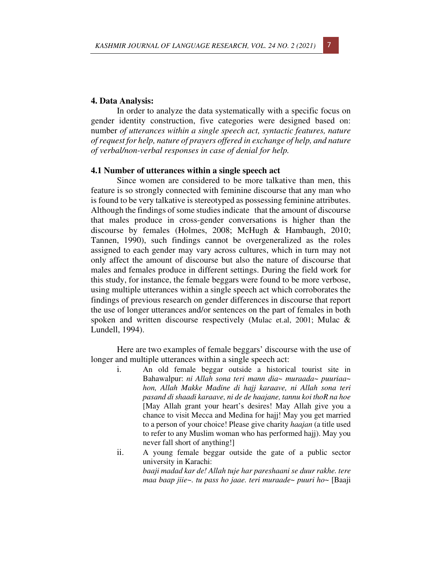

#### **4. Data Analysis:**

In order to analyze the data systematically with a specific focus on gender identity construction, five categories were designed based on: number *of utterances within a single speech act, syntactic features, nature of request for help, nature of prayers offered in exchange of help, and nature of verbal/non-verbal responses in case of denial for help.* 

# **4.1 Number of utterances within a single speech act**

Since women are considered to be more talkative than men, this feature is so strongly connected with feminine discourse that any man who is found to be very talkative is stereotyped as possessing feminine attributes. Although the findings of some studies indicate that the amount of discourse that males produce in cross-gender conversations is higher than the discourse by females (Holmes, 2008; McHugh & Hambaugh, 2010; Tannen, 1990), such findings cannot be overgeneralized as the roles assigned to each gender may vary across cultures, which in turn may not only affect the amount of discourse but also the nature of discourse that males and females produce in different settings. During the field work for this study, for instance, the female beggars were found to be more verbose, using multiple utterances within a single speech act which corroborates the findings of previous research on gender differences in discourse that report the use of longer utterances and/or sentences on the part of females in both spoken and written discourse respectively (Mulac et.al, 2001; Mulac & Lundell, 1994).

Here are two examples of female beggars' discourse with the use of longer and multiple utterances within a single speech act:

- i. An old female beggar outside a historical tourist site in Bahawalpur: *ni Allah sona teri mann dia~ muraada~ puuriaa~ hon, Allah Makke Madine di hajj karaave, ni Allah sona teri pasand di shaadi karaave, ni de de haajane, tannu koi thoR na hoe*  [May Allah grant your heart's desires! May Allah give you a chance to visit Mecca and Medina for hajj! May you get married to a person of your choice! Please give charity *haajan* (a title used to refer to any Muslim woman who has performed hajj). May you never fall short of anything!]
- ii. A young female beggar outside the gate of a public sector university in Karachi: *baaji madad kar de! Allah tuje har pareshaani se duur rakhe. tere maa baap jiie~. tu pass ho jaae. teri muraade~ puuri ho~* [Baaji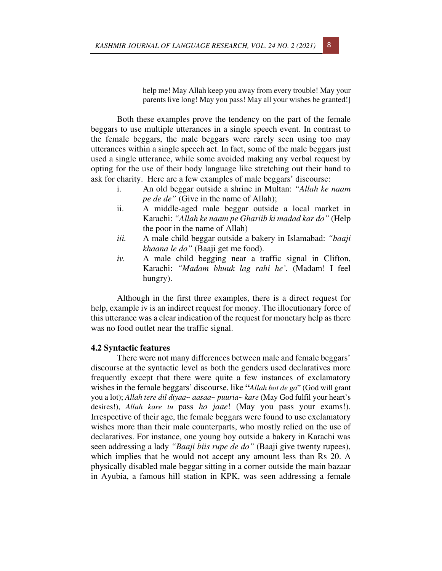help me! May Allah keep you away from every trouble! May your parents live long! May you pass! May all your wishes be granted!]

Both these examples prove the tendency on the part of the female beggars to use multiple utterances in a single speech event. In contrast to the female beggars, the male beggars were rarely seen using too may utterances within a single speech act. In fact, some of the male beggars just used a single utterance, while some avoided making any verbal request by opting for the use of their body language like stretching out their hand to ask for charity. Here are a few examples of male beggars' discourse:

- i. An old beggar outside a shrine in Multan: *"Allah ke naam pe de de"* (Give in the name of Allah);
- ii. A middle-aged male beggar outside a local market in Karachi: *"Allah ke naam pe Ghariib ki madad kar do"* (Help the poor in the name of Allah)
- *iii.* A male child beggar outside a bakery in Islamabad: *"baaji khaana le do"* (Baaji get me food).
- *iv.* A male child begging near a traffic signal in Clifton, Karachi: *"Madam bhuuk lag rahi he'.* (Madam! I feel hungry).

Although in the first three examples, there is a direct request for help, example iv is an indirect request for money. The illocutionary force of this utterance was a clear indication of the request for monetary help as there was no food outlet near the traffic signal.

#### **4.2 Syntactic features**

There were not many differences between male and female beggars' discourse at the syntactic level as both the genders used declaratives more frequently except that there were quite a few instances of exclamatory wishes in the female beggars' discourse, like **"***Allah bot de ga*" (God will grant you a lot); *Allah tere dil diyaa~ aasaa~ puuria~ kare* (May God fulfil your heart's desires!), *Allah kare tu* pass *ho jaae*! (May you pass your exams!). Irrespective of their age, the female beggars were found to use exclamatory wishes more than their male counterparts, who mostly relied on the use of declaratives. For instance, one young boy outside a bakery in Karachi was seen addressing a lady *"Baaji biis rupe de do"* (Baaji give twenty rupees), which implies that he would not accept any amount less than Rs 20. A physically disabled male beggar sitting in a corner outside the main bazaar in Ayubia, a famous hill station in KPK, was seen addressing a female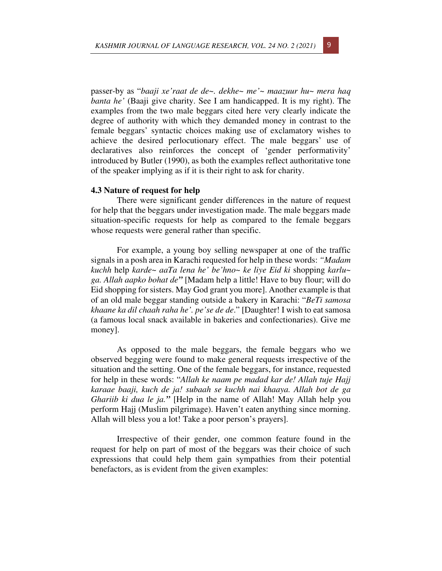passer-by as "*baaji xe'raat de de~. dekhe~ me'~ maazuur hu~ mera haq banta he'* (Baaji give charity. See I am handicapped. It is my right). The examples from the two male beggars cited here very clearly indicate the degree of authority with which they demanded money in contrast to the female beggars' syntactic choices making use of exclamatory wishes to achieve the desired perlocutionary effect. The male beggars' use of declaratives also reinforces the concept of 'gender performativity' introduced by Butler (1990), as both the examples reflect authoritative tone of the speaker implying as if it is their right to ask for charity.

# **4.3 Nature of request for help**

There were significant gender differences in the nature of request for help that the beggars under investigation made. The male beggars made situation-specific requests for help as compared to the female beggars whose requests were general rather than specific.

For example, a young boy selling newspaper at one of the traffic signals in a posh area in Karachi requested for help in these words: *"Madam kuchh* help *karde~ aaTa lena he' be'hno~ ke liye Eid ki* shopping *karlu~ ga. Allah aapko bohat de"* [Madam help a little! Have to buy flour; will do Eid shopping for sisters. May God grant you more]. Another example is that of an old male beggar standing outside a bakery in Karachi: "*BeTi samosa khaane ka dil chaah raha he'. pe'se de de*." [Daughter! I wish to eat samosa (a famous local snack available in bakeries and confectionaries). Give me money].

As opposed to the male beggars, the female beggars who we observed begging were found to make general requests irrespective of the situation and the setting. One of the female beggars, for instance, requested for help in these words: "*Allah ke naam pe madad kar de! Allah tuje Hajj karaae baaji, kuch de ja! subaah se kuchh nai khaaya. Allah bot de ga Ghariib ki dua le ja."* [Help in the name of Allah! May Allah help you perform Hajj (Muslim pilgrimage). Haven't eaten anything since morning. Allah will bless you a lot! Take a poor person's prayers].

Irrespective of their gender, one common feature found in the request for help on part of most of the beggars was their choice of such expressions that could help them gain sympathies from their potential benefactors, as is evident from the given examples: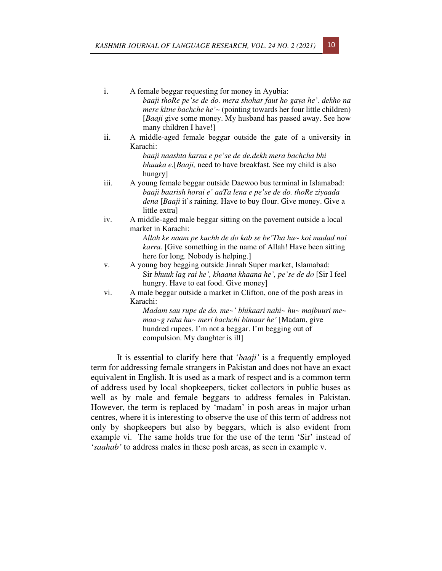i. A female beggar requesting for money in Ayubia:

- *baaji thoRe pe'se de do. mera shohar faut ho gaya he'. dekho na mere kitne bachche he'* ~ (pointing towards her four little children) [*Baaji* give some money. My husband has passed away. See how many children I have!]
- ii. A middle-aged female beggar outside the gate of a university in Karachi:

*baaji naashta karna e pe'se de de.dekh mera bachcha bhi bhuuka e.*[*Baaji,* need to have breakfast. See my child is also hungry]

- iii. A young female beggar outside Daewoo bus terminal in Islamabad: *baaji baarish horai e' aaTa lena e pe'se de do. thoRe ziyaada dena* [*Baaji* it's raining. Have to buy flour. Give money. Give a little extra]
- iv. A middle-aged male beggar sitting on the pavement outside a local market in Karachi:

*Allah ke naam pe kuchh de do kab se be'Tha hu~ koi madad nai karra*. [Give something in the name of Allah! Have been sitting here for long. Nobody is helping.]

- v. A young boy begging outside Jinnah Super market, Islamabad: Sir *bhuuk lag rai he', khaana khaana he', pe'se de do* [Sir I feel hungry. Have to eat food. Give money]
- vi. A male beggar outside a market in Clifton, one of the posh areas in Karachi:

*Madam sau rupe de do. me~' bhikaari nahi~ hu~ majbuuri me~ maa~g raha hu~ meri bachchi bimaar he'* [Madam, give hundred rupees. I'm not a beggar. I'm begging out of compulsion. My daughter is ill]

It is essential to clarify here that '*baaji'* is a frequently employed term for addressing female strangers in Pakistan and does not have an exact equivalent in English. It is used as a mark of respect and is a common term of address used by local shopkeepers, ticket collectors in public buses as well as by male and female beggars to address females in Pakistan. However, the term is replaced by 'madam' in posh areas in major urban centres, where it is interesting to observe the use of this term of address not only by shopkeepers but also by beggars, which is also evident from example vi. The same holds true for the use of the term 'Sir' instead of '*saahab'* to address males in these posh areas, as seen in example v.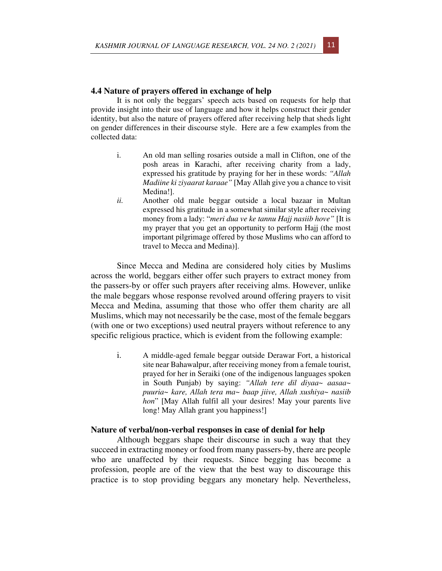# **4.4 Nature of prayers offered in exchange of help**

It is not only the beggars' speech acts based on requests for help that provide insight into their use of language and how it helps construct their gender identity, but also the nature of prayers offered after receiving help that sheds light on gender differences in their discourse style. Here are a few examples from the collected data:

- i. An old man selling rosaries outside a mall in Clifton, one of the posh areas in Karachi, after receiving charity from a lady, expressed his gratitude by praying for her in these words: *"Allah Madiine ki ziyaarat karaae"* [May Allah give you a chance to visit Medina!].
- *ii.* Another old male beggar outside a local bazaar in Multan expressed his gratitude in a somewhat similar style after receiving money from a lady: "*meri dua ve ke tannu Hajj nasiib hove"* [It is my prayer that you get an opportunity to perform Hajj (the most important pilgrimage offered by those Muslims who can afford to travel to Mecca and Medina)].

Since Mecca and Medina are considered holy cities by Muslims across the world, beggars either offer such prayers to extract money from the passers-by or offer such prayers after receiving alms. However, unlike the male beggars whose response revolved around offering prayers to visit Mecca and Medina, assuming that those who offer them charity are all Muslims, which may not necessarily be the case, most of the female beggars (with one or two exceptions) used neutral prayers without reference to any specific religious practice, which is evident from the following example:

i. A middle-aged female beggar outside Derawar Fort, a historical site near Bahawalpur, after receiving money from a female tourist, prayed for her in Seraiki (one of the indigenous languages spoken in South Punjab) by saying: *"Allah tere dil diyaa~ aasaa~ puuria~ kare, Allah tera ma~ baap jiive, Allah xushiya~ nasiib hon*" [May Allah fulfil all your desires! May your parents live long! May Allah grant you happiness!]

#### **Nature of verbal/non-verbal responses in case of denial for help**

Although beggars shape their discourse in such a way that they succeed in extracting money or food from many passers-by, there are people who are unaffected by their requests. Since begging has become a profession, people are of the view that the best way to discourage this practice is to stop providing beggars any monetary help. Nevertheless,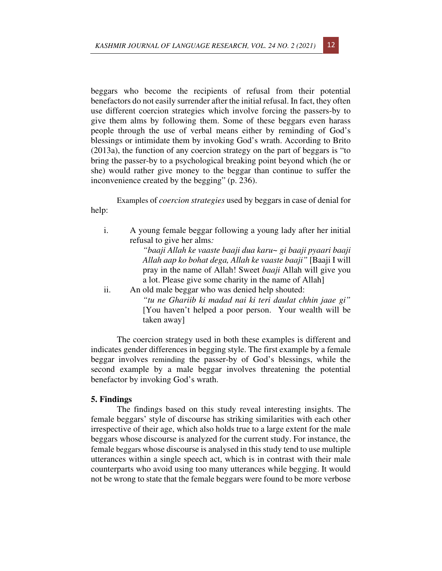beggars who become the recipients of refusal from their potential benefactors do not easily surrender after the initial refusal. In fact, they often use different coercion strategies which involve forcing the passers-by to give them alms by following them. Some of these beggars even harass people through the use of verbal means either by reminding of God's blessings or intimidate them by invoking God's wrath. According to Brito (2013a), the function of any coercion strategy on the part of beggars is "to bring the passer-by to a psychological breaking point beyond which (he or she) would rather give money to the beggar than continue to suffer the inconvenience created by the begging" (p. 236).

Examples of *coercion strategies* used by beggars in case of denial for help:

i. A young female beggar following a young lady after her initial refusal to give her alms*:* 

> *"baaji Allah ke vaaste baaji dua karu~ gi baaji pyaari baaji Allah aap ko bohat dega, Allah ke vaaste baaji"* [Baaji I will pray in the name of Allah! Sweet *baaji* Allah will give you a lot. Please give some charity in the name of Allah]

ii. An old male beggar who was denied help shouted: *"tu ne Ghariib ki madad nai ki teri daulat chhin jaae gi"*  [You haven't helped a poor person. Your wealth will be taken away]

The coercion strategy used in both these examples is different and indicates gender differences in begging style. The first example by a female beggar involves reminding the passer-by of God's blessings, while the second example by a male beggar involves threatening the potential benefactor by invoking God's wrath.

## **5. Findings**

The findings based on this study reveal interesting insights. The female beggars' style of discourse has striking similarities with each other irrespective of their age, which also holds true to a large extent for the male beggars whose discourse is analyzed for the current study. For instance, the female beggars whose discourse is analysed in this study tend to use multiple utterances within a single speech act, which is in contrast with their male counterparts who avoid using too many utterances while begging. It would not be wrong to state that the female beggars were found to be more verbose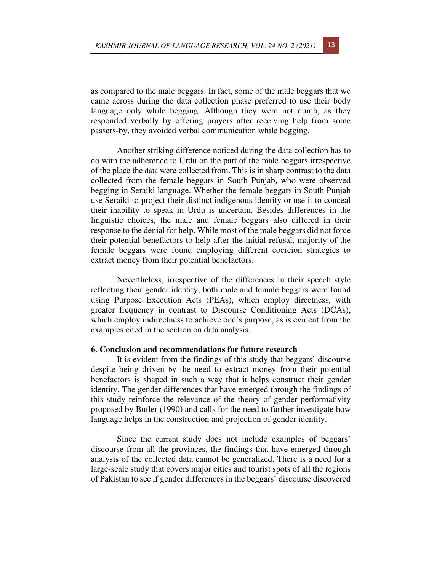as compared to the male beggars. In fact, some of the male beggars that we came across during the data collection phase preferred to use their body language only while begging. Although they were not dumb, as they responded verbally by offering prayers after receiving help from some passers-by, they avoided verbal communication while begging.

Another striking difference noticed during the data collection has to do with the adherence to Urdu on the part of the male beggars irrespective of the place the data were collected from. This is in sharp contrast to the data collected from the female beggars in South Punjab, who were observed begging in Seraiki language. Whether the female beggars in South Punjab use Seraiki to project their distinct indigenous identity or use it to conceal their inability to speak in Urdu is uncertain. Besides differences in the linguistic choices, the male and female beggars also differed in their response to the denial for help. While most of the male beggars did not force their potential benefactors to help after the initial refusal, majority of the female beggars were found employing different coercion strategies to extract money from their potential benefactors.

Nevertheless, irrespective of the differences in their speech style reflecting their gender identity, both male and female beggars were found using Purpose Execution Acts (PEAs), which employ directness, with greater frequency in contrast to Discourse Conditioning Acts (DCAs), which employ indirectness to achieve one's purpose, as is evident from the examples cited in the section on data analysis.

## **6. Conclusion and recommendations for future research**

It is evident from the findings of this study that beggars' discourse despite being driven by the need to extract money from their potential benefactors is shaped in such a way that it helps construct their gender identity. The gender differences that have emerged through the findings of this study reinforce the relevance of the theory of gender performativity proposed by Butler (1990) and calls for the need to further investigate how language helps in the construction and projection of gender identity.

Since the current study does not include examples of beggars' discourse from all the provinces, the findings that have emerged through analysis of the collected data cannot be generalized. There is a need for a large-scale study that covers major cities and tourist spots of all the regions of Pakistan to see if gender differences in the beggars' discourse discovered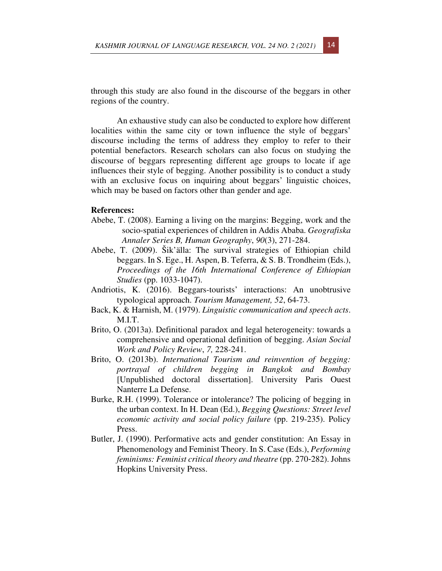through this study are also found in the discourse of the beggars in other regions of the country.

An exhaustive study can also be conducted to explore how different localities within the same city or town influence the style of beggars' discourse including the terms of address they employ to refer to their potential benefactors. Research scholars can also focus on studying the discourse of beggars representing different age groups to locate if age influences their style of begging. Another possibility is to conduct a study with an exclusive focus on inquiring about beggars' linguistic choices, which may be based on factors other than gender and age.

## **References:**

- Abebe, T. (2008). Earning a living on the margins: Begging, work and the socio-spatial experiences of children in Addis Ababa. *Geografiska Annaler Series B, Human Geography*, *90*(3), 271-284.
- Abebe, T. (2009). Šik'älla: The survival strategies of Ethiopian child beggars. In S. Ege., H. Aspen, B. Teferra, & S. B. Trondheim (Eds.), *Proceedings of the 16th International Conference of Ethiopian Studies* (pp. 1033-1047).
- Andriotis, K. (2016). Beggars-tourists' interactions: An unobtrusive typological approach. *Tourism Management, 52*, 64-73.
- Back, K. & Harnish, M. (1979). *Linguistic communication and speech acts*. M.I.T.
- Brito, O. (2013a). Definitional paradox and legal heterogeneity: towards a comprehensive and operational definition of begging. *Asian Social Work and Policy Review*, *7,* 228-241.
- Brito, O. (2013b). *International Tourism and reinvention of begging: portrayal of children begging in Bangkok and Bombay* [Unpublished doctoral dissertation]. University Paris Ouest Nanterre La Defense.
- Burke, R.H. (1999). Tolerance or intolerance? The policing of begging in the urban context. In H. Dean (Ed.), *Begging Questions: Street level economic activity and social policy failure* (pp. 219-235). Policy Press.
- Butler, J. (1990). Performative acts and gender constitution: An Essay in Phenomenology and Feminist Theory. In S. Case (Eds.), *Performing feminisms: Feminist critical theory and theatre* (pp. 270‐282). Johns Hopkins University Press.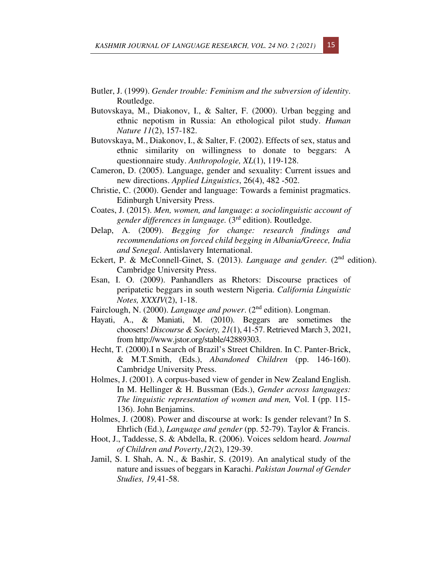- Butler, J. (1999). *Gender trouble: Feminism and the subversion of identity*. Routledge.
- Butovskaya, M., Diakonov, I., & Salter, F. (2000). Urban begging and ethnic nepotism in Russia: An ethological pilot study. *Human Nature 11*(2), 157-182.
- Butovskaya, M., Diakonov, I., & Salter, F. (2002). Effects of sex, status and ethnic similarity on willingness to donate to beggars: A questionnaire study. *Anthropologie, XL*(1), 119-128.
- Cameron, D. (2005). Language, gender and sexuality: Current issues and new directions. *Applied Linguistics*, 26(4), 482 ‐502.
- Christie, C. (2000). Gender and language: Towards a feminist pragmatics. Edinburgh University Press.
- Coates, J. (2015). *Men, women, and language*: *a sociolinguistic account of gender differences in language.* (3rd edition). Routledge.
- Delap, A. (2009). *Begging for change: research findings and recommendations on forced child begging in Albania/Greece, India and Senegal*. Antislavery International.
- Eckert, P. & McConnell-Ginet, S. (2013). *Language and gender*. (2<sup>nd</sup> edition). Cambridge University Press.
- Esan, I. O. (2009). Panhandlers as Rhetors: Discourse practices of peripatetic beggars in south western Nigeria. *California Linguistic Notes, XXXIV*(2), 1-18.
- Fairclough, N. (2000). *Language and power*. (2nd edition). Longman.
- Hayati, A., & Maniati, M. (2010). Beggars are sometimes the choosers! *Discourse & Society, 21*(1), 41-57. Retrieved March 3, 2021, from http://www.jstor.org/stable/42889303.
- Hecht, T. (2000).I n Search of Brazil's Street Children. In C. Panter-Brick, & M.T.Smith, (Eds.), *Abandoned Children* (pp. 146-160). Cambridge University Press.
- Holmes, J. (2001). A corpus-based view of gender in New Zealand English. In M. Hellinger & H. Bussman (Eds.), *Gender across languages: The linguistic representation of women and men,* Vol. I (pp. 115- 136). John Benjamins.
- Holmes, J. (2008). Power and discourse at work: Is gender relevant? In S. Ehrlich (Ed.), *Language and gender* (pp. 52-79). Taylor & Francis.
- Hoot, J., Taddesse, S. & Abdella, R. (2006). Voices seldom heard. *Journal of Children and Poverty*,*12*(2), 129-39.
- Jamil, S. I. Shah, A. N., & Bashir, S. (2019). An analytical study of the nature and issues of beggars in Karachi. *Pakistan Journal of Gender Studies, 19,*41-58.